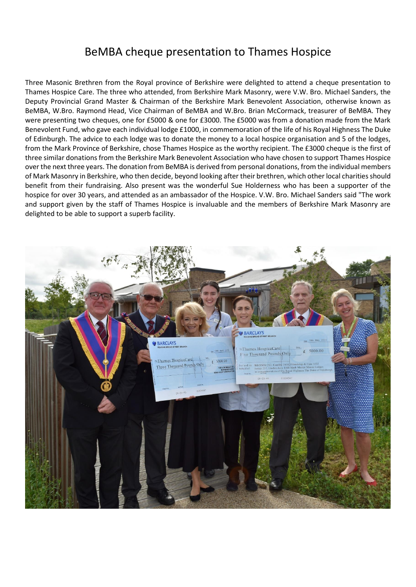## BeMBA cheque presentation to Thames Hospice

Three Masonic Brethren from the Royal province of Berkshire were delighted to attend a cheque presentation to Thames Hospice Care. The three who attended, from Berkshire Mark Masonry, were V.W. Bro. Michael Sanders, the Deputy Provincial Grand Master & Chairman of the Berkshire Mark Benevolent Association, otherwise known as BeMBA, W.Bro. Raymond Head, Vice Chairman of BeMBA and W.Bro. Brian McCormack, treasurer of BeMBA. They were presenting two cheques, one for £5000 & one for £3000. The £5000 was from a donation made from the Mark Benevolent Fund, who gave each individual lodge £1000, in commemoration of the life of his Royal Highness The Duke of Edinburgh. The advice to each lodge was to donate the money to a local hospice organisation and 5 of the lodges, from the Mark Province of Berkshire, chose Thames Hospice as the worthy recipient. The £3000 cheque is the first of three similar donations from the Berkshire Mark Benevolent Association who have chosen to support Thames Hospice over the next three years. The donation from BeMBA is derived from personal donations, from the individual members of Mark Masonry in Berkshire, who then decide, beyond looking after their brethren, which other local charities should benefit from their fundraising. Also present was the wonderful Sue Holderness who has been a supporter of the hospice for over 30 years, and attended as an ambassador of the Hospice. V.W. Bro. Michael Sanders said "The work and support given by the staff of Thames Hospice is invaluable and the members of Berkshire Mark Masonry are delighted to be able to support a superb facility.